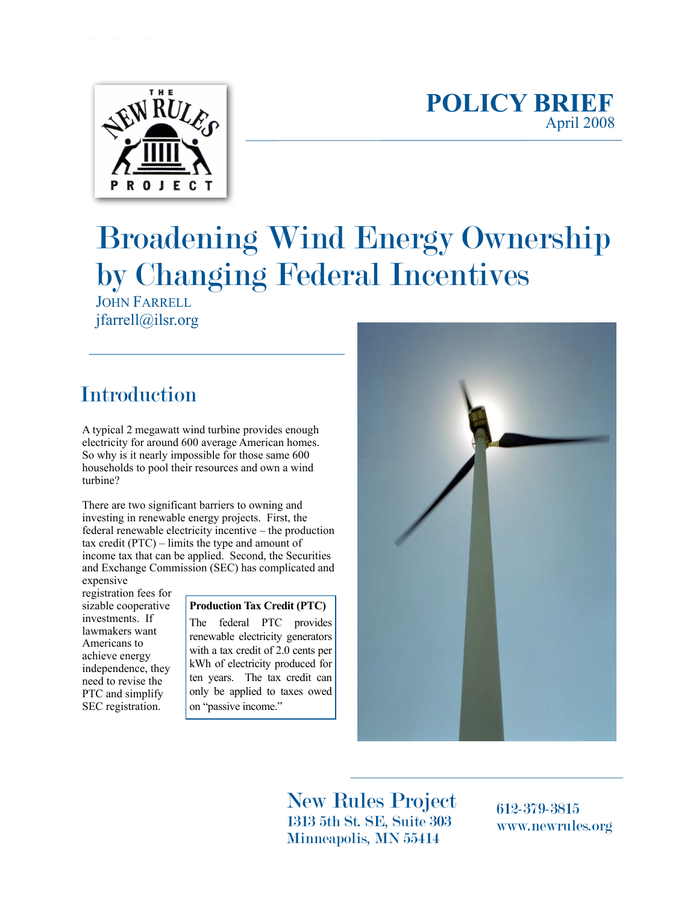

### **POLICY BRIEF** April 2008

# Broadening Wind Energy Ownership by Changing Federal Incentives

JOHN FARRELL jfarrell@ilsr.org

# Introduction

A typical 2 megawatt wind turbine provides enough electricity for around 600 average American homes. So why is it nearly impossible for those same 600 households to pool their resources and own a wind turbine?

There are two significant barriers to owning and investing in renewable energy projects. First, the federal renewable electricity incentive – the production tax credit (PTC) – limits the type and amount of income tax that can be applied. Second, the Securities and Exchange Commission (SEC) has complicated and expensive

registration fees for sizable cooperative investments. If lawmakers want Americans to achieve energy independence, they need to revise the PTC and simplify SEC registration.

#### **Production Tax Credit (PTC)**

The federal PTC provides renewable electricity generators with a tax credit of 2.0 cents per kWh of electricity produced for ten years. The tax credit can only be applied to taxes owed on "passive income."



New Rules Project 1313 5th St. SE, Suite 303 Minneapolis, MN 55414

612-379-3815 www.newrules.org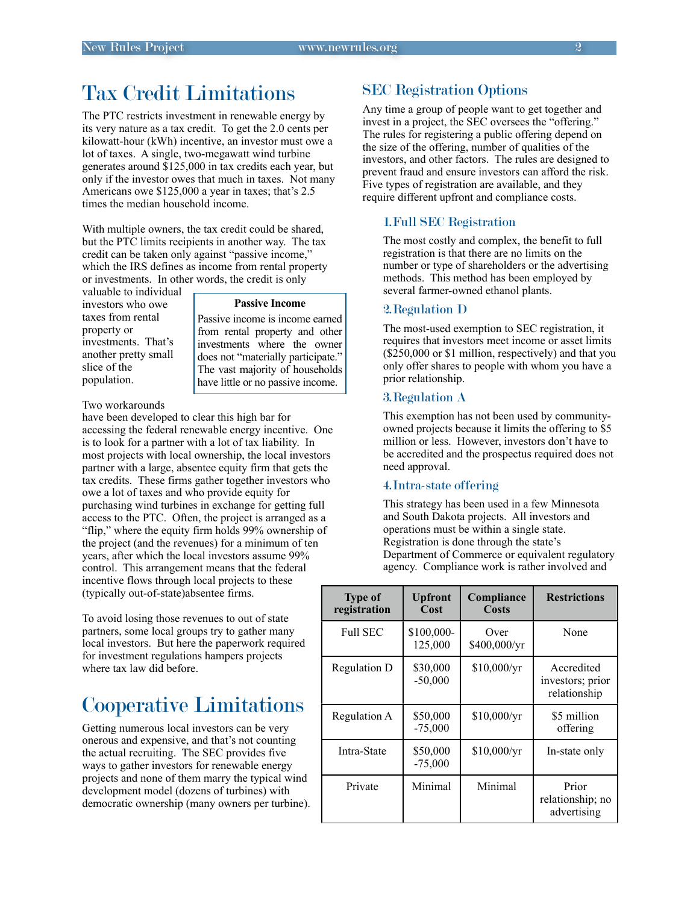# Tax Credit Limitations

The PTC restricts investment in renewable energy by its very nature as a tax credit. To get the 2.0 cents per kilowatt-hour (kWh) incentive, an investor must owe a lot of taxes. A single, two-megawatt wind turbine generates around \$125,000 in tax credits each year, but only if the investor owes that much in taxes. Not many Americans owe \$125,000 a year in taxes; that's 2.5 times the median household income.

With multiple owners, the tax credit could be shared, but the PTC limits recipients in another way. The tax credit can be taken only against "passive income," which the IRS defines as income from rental property or investments. In other words, the credit is only

valuable to individual investors who owe taxes from rental property or investments. That's another pretty small slice of the population.

#### **Passive Income**

Passive income is income earned from rental property and other investments where the owner does not "materially participate." The vast majority of households have little or no passive income.

#### Two workarounds

have been developed to clear this high bar for accessing the federal renewable energy incentive. One is to look for a partner with a lot of tax liability. In most projects with local ownership, the local investors partner with a large, absentee equity firm that gets the tax credits. These firms gather together investors who owe a lot of taxes and who provide equity for purchasing wind turbines in exchange for getting full access to the PTC. Often, the project is arranged as a "flip," where the equity firm holds 99% ownership of the project (and the revenues) for a minimum of ten years, after which the local investors assume 99% control. This arrangement means that the federal incentive flows through local projects to these (typically out-of-state)absentee firms.

To avoid losing those revenues to out of state partners, some local groups try to gather many local investors. But here the paperwork required for investment regulations hampers projects where tax law did before.

### Cooperative Limitations

Getting numerous local investors can be very onerous and expensive, and that's not counting the actual recruiting. The SEC provides five ways to gather investors for renewable energy projects and none of them marry the typical wind development model (dozens of turbines) with democratic ownership (many owners per turbine).

### SEC Registration Options

Any time a group of people want to get together and invest in a project, the SEC oversees the "offering." The rules for registering a public offering depend on the size of the offering, number of qualities of the investors, and other factors. The rules are designed to prevent fraud and ensure investors can afford the risk. Five types of registration are available, and they require different upfront and compliance costs.

#### 1.Full SEC Registration

The most costly and complex, the benefit to full registration is that there are no limits on the number or type of shareholders or the advertising methods. This method has been employed by several farmer-owned ethanol plants.

#### 2.Regulation D

The most-used exemption to SEC registration, it requires that investors meet income or asset limits (\$250,000 or \$1 million, respectively) and that you only offer shares to people with whom you have a prior relationship.

#### 3.Regulation A

This exemption has not been used by communityowned projects because it limits the offering to \$5 million or less. However, investors don't have to be accredited and the prospectus required does not need approval.

#### 4.Intra-state offering

This strategy has been used in a few Minnesota and South Dakota projects. All investors and operations must be within a single state. Registration is done through the state's Department of Commerce or equivalent regulatory agency. Compliance work is rather involved and

| <b>Type of</b><br>registration | <b>Upfront</b><br>Cost | Compliance<br>Costs  | <b>Restrictions</b>                            |
|--------------------------------|------------------------|----------------------|------------------------------------------------|
| <b>Full SEC</b>                | \$100,000-<br>125,000  | Over<br>\$400,000/yr | None                                           |
| Regulation D                   | \$30,000<br>$-50,000$  | \$10,000/yr          | Accredited<br>investors; prior<br>relationship |
| Regulation A                   | \$50,000<br>$-75,000$  | $$10,000/\text{yr}$  | \$5 million<br>offering                        |
| Intra-State                    | \$50,000<br>$-75,000$  | $$10,000/\text{yr}$  | In-state only                                  |
| Private                        | Minimal                | Minimal              | Prior<br>relationship; no<br>advertising       |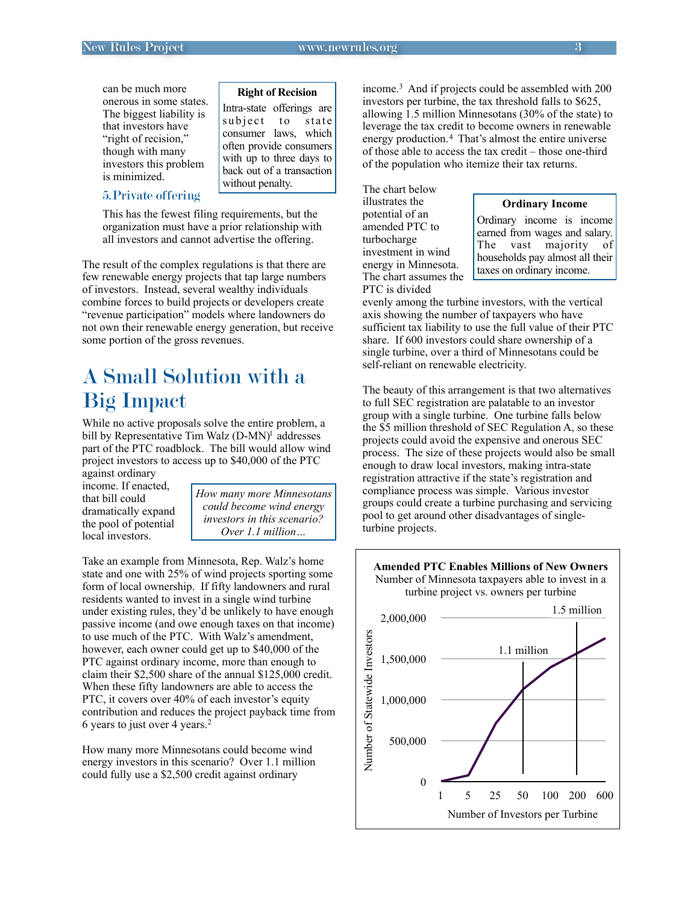can be much more onerous in some states. The biggest liability is that investors have "right of recision," though with many investors this problem is minimized.

#### **Right of Recision**

Intra-state offerings are subject to state consumer laws, which often provide consumers with up to three days to back out of a transaction without penalty.

### 5.Private offering

This has the fewest filing requirements, but the organization must have a prior relationship with all investors and cannot advertise the offering.

The result of the complex regulations is that there are few renewable energy projects that tap large numbers of investors. Instead, several wealthy individuals combine forces to build projects or developers create "revenue participation" models where landowners do not own their renewable energy generation, but receive some portion of the gross revenues.

## A Small Solution with a Big Impact

While no active proposals solve the entire problem, a bill by Representative Tim Walz (D-MN)<sup>1</sup> addresses part of the PTC roadblock. The bill would allow wind project investors to access up to \$40,000 of the PTC against ordinary

income. If enacted, that bill could dramatically expand the pool of potential local investors.

*How many more Minnesotans could become wind energy investors in this scenario? Over 1.1 million…*

Take an example from Minnesota, Rep. Walz's home state and one with 25% of wind projects sporting some form of local ownership. If fifty landowners and rural residents wanted to invest in a single wind turbine under existing rules, they'd be unlikely to have enough passive income (and owe enough taxes on that income) to use much of the PTC. With Walz's amendment, however, each owner could get up to \$40,000 of the PTC against ordinary income, more than enough to claim their \$2,500 share of the annual \$125,000 credit. When these fifty landowners are able to access the PTC, it covers over 40% of each investor's equity contribution and reduces the project payback time from 6 years to just over 4 years.[2](#page-3-1)

How many more Minnesotans could become wind energy investors in this scenario? Over 1.1 million could fully use a \$2,500 credit against ordinary

income.[3](#page-3-2) And if projects could be assembled with 200 investors per turbine, the tax threshold falls to \$625, allowing 1.5 million Minnesotans (30% of the state) to leverage the tax credit to become owners in renewable energy production.<sup>[4](#page-3-3)</sup> That's almost the entire universe of those able to access the tax credit – those one-third of the population who itemize their tax returns.

The chart below illustrates the potential of an amended PTC to turbocharge investment in wind energy in Minnesota. The chart assumes the PTC is divided

#### **Ordinary Income**

Ordinary income is income earned from wages and salary. The vast majority of households pay almost all their taxes on ordinary income.

evenly among the turbine investors, with the vertical axis showing the number of taxpayers who have sufficient tax liability to use the full value of their PTC share. If 600 investors could share ownership of a single turbine, over a third of Minnesotans could be self-reliant on renewable electricity.

The beauty of this arrangement is that two alternatives to full SEC registration are palatable to an investor group with a single turbine. One turbine falls below the \$5 million threshold of SEC Regulation A, so these projects could avoid the expensive and onerous SEC process. The size of these projects would also be small enough to draw local investors, making intra-state registration attractive if the state's registration and compliance process was simple. Various investor groups could create a turbine purchasing and servicing pool to get around other disadvantages of singleturbine projects.